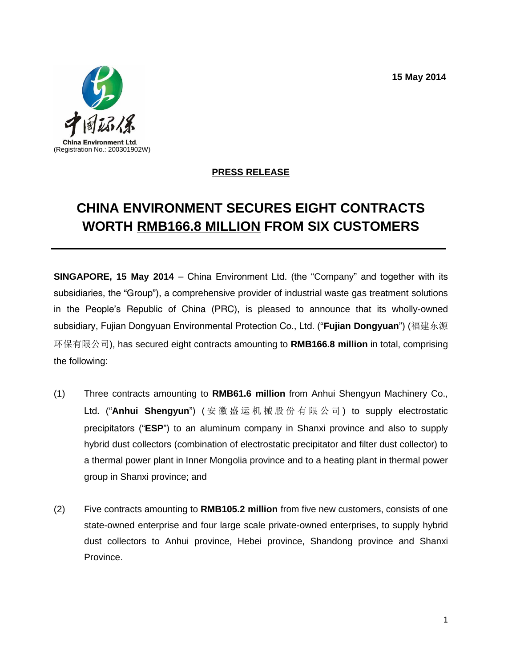**15 May 2014**



## **PRESS RELEASE**

## **CHINA ENVIRONMENT SECURES EIGHT CONTRACTS WORTH RMB166.8 MILLION FROM SIX CUSTOMERS**

**SINGAPORE, 15 May 2014** – China Environment Ltd. (the "Company" and together with its subsidiaries, the "Group"), a comprehensive provider of industrial waste gas treatment solutions in the People's Republic of China (PRC), is pleased to announce that its wholly-owned subsidiary, Fujian Dongyuan Environmental Protection Co., Ltd. ("**Fujian Dongyuan**") (福建东源 环保有限公司), has secured eight contracts amounting to **RMB166.8 million** in total, comprising the following:

- (1) Three contracts amounting to **RMB61.6 million** from Anhui Shengyun Machinery Co., Ltd. ("Anhui Shengyun") ( 安 徽 盛 运 机 械 股 份 有 限 公 司 ) to supply electrostatic precipitators ("**ESP**") to an aluminum company in Shanxi province and also to supply hybrid dust collectors (combination of electrostatic precipitator and filter dust collector) to a thermal power plant in Inner Mongolia province and to a heating plant in thermal power group in Shanxi province; and
- (2) Five contracts amounting to **RMB105.2 million** from five new customers, consists of one state-owned enterprise and four large scale private-owned enterprises, to supply hybrid dust collectors to Anhui province, Hebei province, Shandong province and Shanxi Province.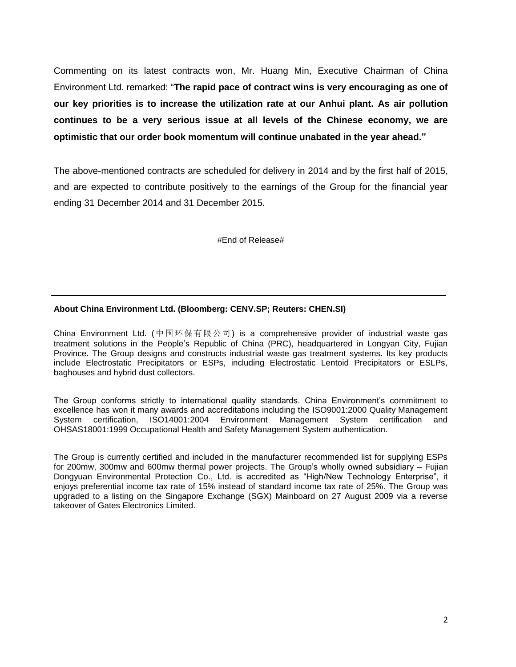Commenting on its latest contracts won, Mr. Huang Min, Executive Chairman of China Environment Ltd. remarked: "**The rapid pace of contract wins is very encouraging as one of our key priorities is to increase the utilization rate at our Anhui plant. As air pollution continues to be a very serious issue at all levels of the Chinese economy, we are optimistic that our order book momentum will continue unabated in the year ahead."**

The above-mentioned contracts are scheduled for delivery in 2014 and by the first half of 2015, and are expected to contribute positively to the earnings of the Group for the financial year ending 31 December 2014 and 31 December 2015.

#End of Release#

## **About China Environment Ltd. (Bloomberg: CENV.SP; Reuters: CHEN.SI)**

China Environment Ltd. (中国环保有限公司) is a comprehensive provider of industrial waste gas treatment solutions in the People's Republic of China (PRC), headquartered in Longyan City, Fujian Province. The Group designs and constructs industrial waste gas treatment systems. Its key products include Electrostatic Precipitators or ESPs, including Electrostatic Lentoid Precipitators or ESLPs, baghouses and hybrid dust collectors.

The Group conforms strictly to international quality standards. China Environment's commitment to excellence has won it many awards and accreditations including the ISO9001:2000 Quality Management System certification, ISO14001:2004 Environment Management System certification and OHSAS18001:1999 Occupational Health and Safety Management System authentication.

The Group is currently certified and included in the manufacturer recommended list for supplying ESPs for 200mw, 300mw and 600mw thermal power projects. The Group's wholly owned subsidiary – Fujian Dongyuan Environmental Protection Co., Ltd. is accredited as "High/New Technology Enterprise", it enjoys preferential income tax rate of 15% instead of standard income tax rate of 25%. The Group was upgraded to a listing on the Singapore Exchange (SGX) Mainboard on 27 August 2009 via a reverse takeover of Gates Electronics Limited.